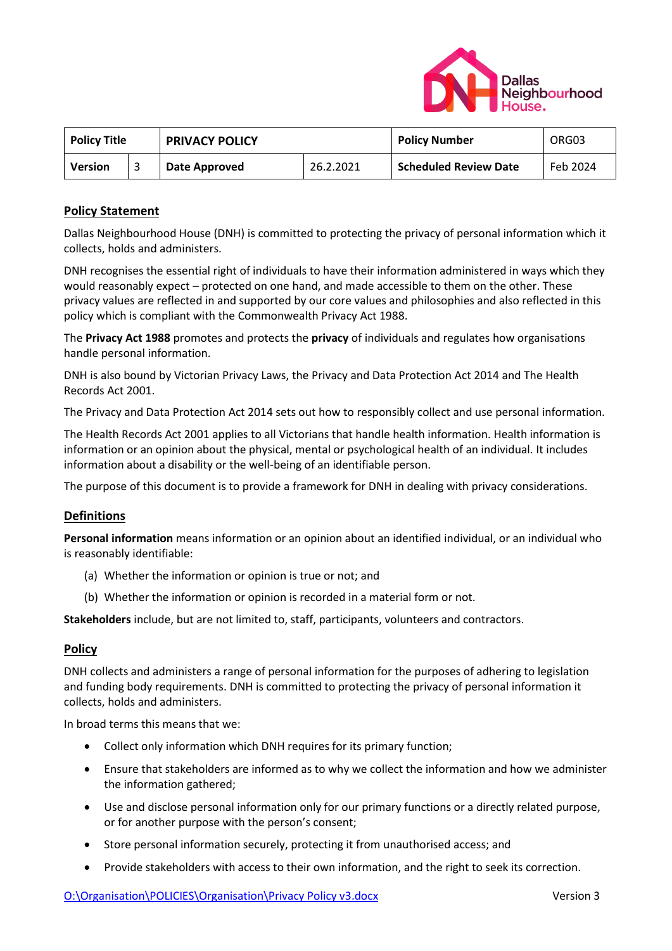

| <b>Policy Title</b> |  | <b>PRIVACY POLICY</b> |           | <b>Policy Number</b>  | ORG03    |
|---------------------|--|-----------------------|-----------|-----------------------|----------|
| <b>Version</b>      |  | Date Approved         | 26.2.2021 | Scheduled Review Date | Feb 2024 |

# **Policy Statement**

Dallas Neighbourhood House (DNH) is committed to protecting the privacy of personal information which it collects, holds and administers.

DNH recognises the essential right of individuals to have their information administered in ways which they would reasonably expect – protected on one hand, and made accessible to them on the other. These privacy values are reflected in and supported by our core values and philosophies and also reflected in this policy which is compliant with the Commonwealth Privacy Act 1988.

The **Privacy Act 1988** promotes and protects the **privacy** of individuals and regulates how organisations handle personal information.

DNH is also bound by Victorian Privacy Laws, the Privacy and Data Protection Act 2014 and The Health Records Act 2001.

The Privacy and Data Protection Act 2014 sets out how to responsibly collect and use personal information.

The Health Records Act 2001 applies to all Victorians that handle health information. Health information is information or an opinion about the physical, mental or psychological health of an individual. It includes information about a disability or the well-being of an identifiable person.

The purpose of this document is to provide a framework for DNH in dealing with privacy considerations.

## **Definitions**

**Personal information** means information or an opinion about an identified individual, or an individual who is reasonably identifiable:

- (a) Whether the information or opinion is true or not; and
- (b) Whether the information or opinion is recorded in a material form or not.

**Stakeholders** include, but are not limited to, staff, participants, volunteers and contractors.

## **Policy**

DNH collects and administers a range of personal information for the purposes of adhering to legislation and funding body requirements. DNH is committed to protecting the privacy of personal information it collects, holds and administers.

In broad terms this means that we:

- Collect only information which DNH requires for its primary function;
- Ensure that stakeholders are informed as to why we collect the information and how we administer the information gathered;
- Use and disclose personal information only for our primary functions or a directly related purpose, or for another purpose with the person's consent;
- Store personal information securely, protecting it from unauthorised access; and
- Provide stakeholders with access to their own information, and the right to seek its correction.